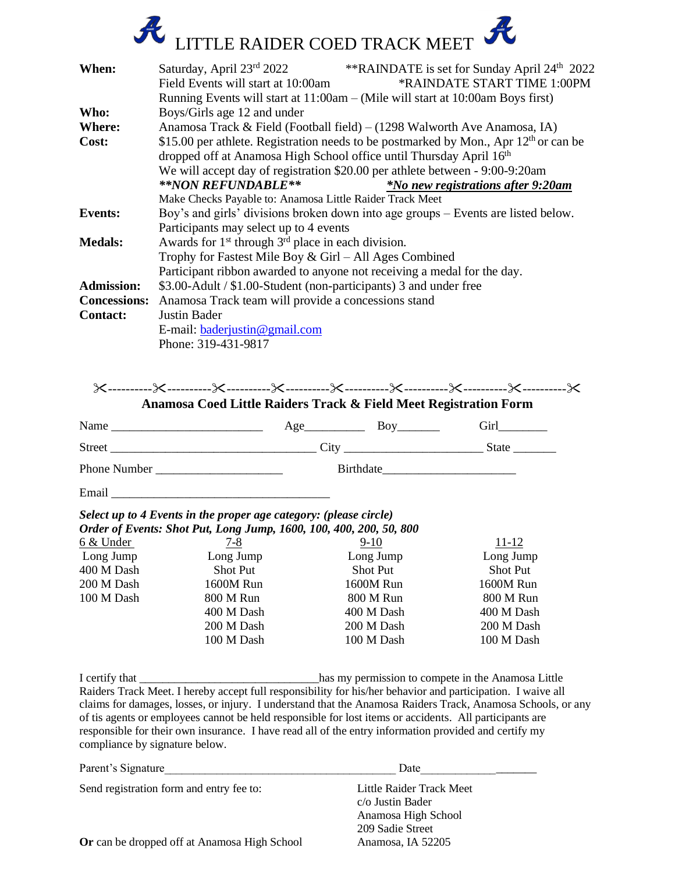

| When:               | Saturday, April 23rd 2022<br>**RAINDATE is set for Sunday April 24 <sup>th</sup> 2022                                                                         |  |  |  |  |  |
|---------------------|---------------------------------------------------------------------------------------------------------------------------------------------------------------|--|--|--|--|--|
|                     | *RAINDATE START TIME 1:00PM<br>Field Events will start at 10:00am                                                                                             |  |  |  |  |  |
|                     | Running Events will start at 11:00am – (Mile will start at 10:00am Boys first)                                                                                |  |  |  |  |  |
| Who:                | Boys/Girls age 12 and under                                                                                                                                   |  |  |  |  |  |
| Where:              | Anamosa Track & Field (Football field) – $(1298$ Walworth Ave Anamosa, IA)                                                                                    |  |  |  |  |  |
| Cost:               | \$15.00 per athlete. Registration needs to be postmarked by Mon., Apr $12th$ or can be<br>dropped off at Anamosa High School office until Thursday April 16th |  |  |  |  |  |
|                     | We will accept day of registration \$20.00 per athlete between - 9:00-9:20am                                                                                  |  |  |  |  |  |
|                     | **NON REFUNDABLE**<br><i>*No new registrations after 9:20am</i>                                                                                               |  |  |  |  |  |
|                     | Make Checks Payable to: Anamosa Little Raider Track Meet                                                                                                      |  |  |  |  |  |
| <b>Events:</b>      | Boy's and girls' divisions broken down into age groups – Events are listed below.                                                                             |  |  |  |  |  |
|                     | Participants may select up to 4 events                                                                                                                        |  |  |  |  |  |
| <b>Medals:</b>      | Awards for 1 <sup>st</sup> through 3 <sup>rd</sup> place in each division.                                                                                    |  |  |  |  |  |
|                     | Trophy for Fastest Mile Boy $& Girl - All Ages Combined$                                                                                                      |  |  |  |  |  |
|                     | Participant ribbon awarded to anyone not receiving a medal for the day.                                                                                       |  |  |  |  |  |
| <b>Admission:</b>   | \$3.00-Adult / \$1.00-Student (non-participants) 3 and under free                                                                                             |  |  |  |  |  |
| <b>Concessions:</b> | Anamosa Track team will provide a concessions stand                                                                                                           |  |  |  |  |  |
| <b>Contact:</b>     | Justin Bader                                                                                                                                                  |  |  |  |  |  |
|                     | E-mail: $baderiustin@gmail.com$                                                                                                                               |  |  |  |  |  |
|                     | Phone: 319-431-9817                                                                                                                                           |  |  |  |  |  |

 $\times$ --------- $\times$ --------- $\times$ --------- $\times$ --------- $\times$ -------- $\times$ --------- $\times$ 

**Anamosa Coed Little Raiders Track & Field Meet Registration Form**

| Name                | Age       | Boy | Girl         |
|---------------------|-----------|-----|--------------|
| <b>Street</b>       | City      |     | <b>State</b> |
| <b>Phone Number</b> | Birthdate |     |              |
| Email               |           |     |              |

## *Select up to 4 Events in the proper age category: (please circle) Order of Events: Shot Put, Long Jump, 1600, 100, 400, 200, 50, 800*

| <b>Order of Events: Shot Fut, Long Jump, 1000, 100, 400, 200, 50, 600</b> |            |                 |                 |  |  |  |
|---------------------------------------------------------------------------|------------|-----------------|-----------------|--|--|--|
| 6 & Under                                                                 | $7 - 8$    | $9-10$          | 11-12           |  |  |  |
| Long Jump                                                                 | Long Jump  | Long Jump       | Long Jump       |  |  |  |
| 400 M Dash                                                                | Shot Put   | <b>Shot Put</b> | <b>Shot Put</b> |  |  |  |
| 200 M Dash                                                                | 1600M Run  | 1600M Run       | 1600M Run       |  |  |  |
| 100 M Dash                                                                | 800 M Run  | 800 M Run       | 800 M Run       |  |  |  |
|                                                                           | 400 M Dash | 400 M Dash      | 400 M Dash      |  |  |  |
|                                                                           | 200 M Dash | 200 M Dash      | 200 M Dash      |  |  |  |
|                                                                           | 100 M Dash | 100 M Dash      | 100 M Dash      |  |  |  |
|                                                                           |            |                 |                 |  |  |  |

I certify that \_\_\_\_\_\_\_\_\_\_\_\_\_\_\_\_\_\_\_\_\_\_\_\_\_\_\_\_\_\_\_has my permission to compete in the Anamosa Little Raiders Track Meet. I hereby accept full responsibility for his/her behavior and participation. I waive all claims for damages, losses, or injury. I understand that the Anamosa Raiders Track, Anamosa Schools, or any of tis agents or employees cannot be held responsible for lost items or accidents. All participants are responsible for their own insurance. I have read all of the entry information provided and certify my compliance by signature below.

| Parent's Signature                           | Date                                                |  |
|----------------------------------------------|-----------------------------------------------------|--|
| Send registration form and entry fee to:     | Little Raider Track Meet<br>$c/\sigma$ Justin Bader |  |
|                                              | Anamosa High School<br>209 Sadie Street             |  |
| Or can be dropped off at Anamosa High School | Anamosa, IA 52205                                   |  |